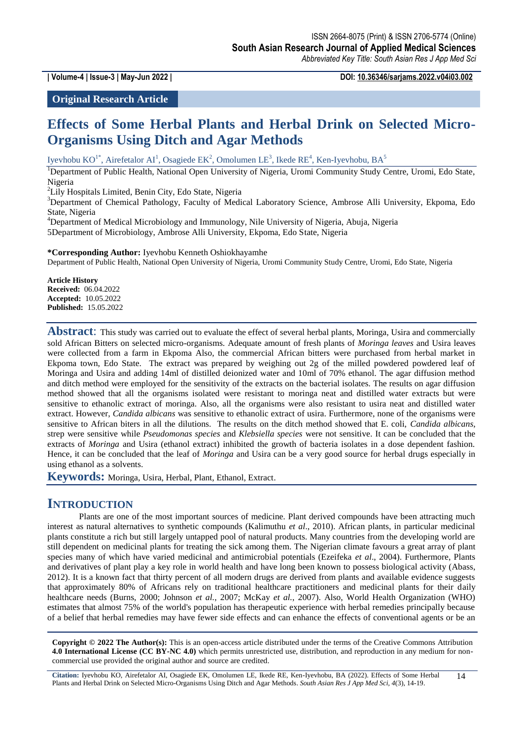**| Volume-4 | Issue-3 | May-Jun 2022 | DOI: 10.36346/sarjams.2022.v04i03.002**

### **Original Research Article**

# **Effects of Some Herbal Plants and Herbal Drink on Selected Micro-Organisms Using Ditch and Agar Methods**

Iyevhobu KO<sup>1\*</sup>, Airefetalor AI<sup>1</sup>, Osagiede EK<sup>2</sup>, Omolumen LE<sup>3</sup>, Ikede RE<sup>4</sup>, Ken-Iyevhobu, BA<sup>5</sup>

<sup>1</sup>Department of Public Health, National Open University of Nigeria, Uromi Community Study Centre, Uromi, Edo State, Nigeria

<sup>2</sup>Lily Hospitals Limited, Benin City, Edo State, Nigeria

<sup>3</sup>Department of Chemical Pathology, Faculty of Medical Laboratory Science, Ambrose Alli University, Ekpoma, Edo State, Nigeria

<sup>4</sup>Department of Medical Microbiology and Immunology, Nile University of Nigeria, Abuja, Nigeria 5Department of Microbiology, Ambrose Alli University, Ekpoma, Edo State, Nigeria

**\*Corresponding Author:** Iyevhobu Kenneth Oshiokhayamhe

Department of Public Health, National Open University of Nigeria, Uromi Community Study Centre, Uromi, Edo State, Nigeria

**Article History Received:** 06.04.2022 **Accepted:** 10.05.2022 **Published:** 15.05.2022

**Abstract**: This study was carried out to evaluate the effect of several herbal plants, Moringa, Usira and commercially sold African Bitters on selected micro-organisms. Adequate amount of fresh plants of *Moringa leaves* and Usira leaves were collected from a farm in Ekpoma Also, the commercial African bitters were purchased from herbal market in Ekpoma town, Edo State. The extract was prepared by weighing out 2g of the milled powdered powdered leaf of Moringa and Usira and adding 14ml of distilled deionized water and 10ml of 70% ethanol. The agar diffusion method and ditch method were employed for the sensitivity of the extracts on the bacterial isolates. The results on agar diffusion method showed that all the organisms isolated were resistant to moringa neat and distilled water extracts but were sensitive to ethanolic extract of moringa. Also, all the organisms were also resistant to usira neat and distilled water extract. However, *Candida albicans* was sensitive to ethanolic extract of usira. Furthermore, none of the organisms were sensitive to African biters in all the dilutions. The results on the ditch method showed that E. coli, *Candida albicans*, strep were sensitive while *Pseudomonas species* and *Klebsiella species* were not sensitive. It can be concluded that the extracts of *Moringa* and Usira (ethanol extract) inhibited the growth of bacteria isolates in a dose dependent fashion. Hence, it can be concluded that the leaf of *Moringa* and Usira can be a very good source for herbal drugs especially in using ethanol as a solvents.

**Keywords:** Moringa, Usira, Herbal, Plant, Ethanol, Extract.

### **INTRODUCTION**

Plants are one of the most important sources of medicine. Plant derived compounds have been attracting much interest as natural alternatives to synthetic compounds (Kalimuthu *et al*., 2010). African plants, in particular medicinal plants constitute a rich but still largely untapped pool of natural products. Many countries from the developing world are still dependent on medicinal plants for treating the sick among them. The Nigerian climate favours a great array of plant species many of which have varied medicinal and antimicrobial potentials (Ezeifeka *et al*., 2004). Furthermore, Plants and derivatives of plant play a key role in world health and have long been known to possess biological activity (Abass, 2012). It is a known fact that thirty percent of all modern drugs are derived from plants and available evidence suggests that approximately 80% of Africans rely on traditional healthcare practitioners and medicinal plants for their daily healthcare needs (Burns, 2000; Johnson *et al.*, 2007; McKay *et al.*, 2007). Also, World Health Organization (WHO) estimates that almost 75% of the world's population has therapeutic experience with herbal remedies principally because of a belief that herbal remedies may have fewer side effects and can enhance the effects of conventional agents or be an

**Copyright © 2022 The Author(s):** This is an open-access article distributed under the terms of the Creative Commons Attribution **4.0 International License (CC BY-NC 4.0)** which permits unrestricted use, distribution, and reproduction in any medium for noncommercial use provided the original author and source are credited.

**Citation:** Iyevhobu KO, Airefetalor AI, Osagiede EK, Omolumen LE, Ikede RE, Ken-Iyevhobu, BA (2022). Effects of Some Herbal Plants and Herbal Drink on Selected Micro-Organisms Using Ditch and Agar Methods. *South Asian Res J App Med Sci, 4*(3), 14-19. 14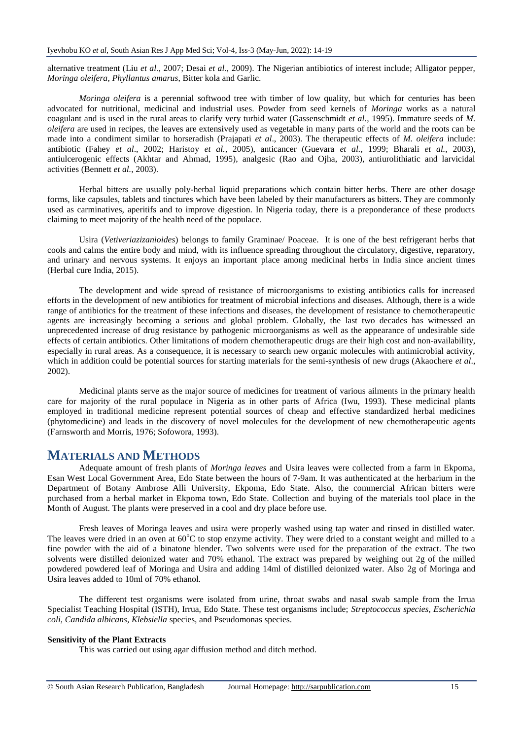alternative treatment (Liu *et al.*, 2007; Desai *et al.*, 2009). The Nigerian antibiotics of interest include; Alligator pepper, *Moringa oleifera*, *Phyllantus amarus*, Bitter kola and Garlic.

*Moringa oleifera* is a perennial softwood tree with timber of low quality, but which for centuries has been advocated for nutritional, medicinal and industrial uses. Powder from seed kernels of *Moringa* works as a natural coagulant and is used in the rural areas to clarify very turbid water (Gassenschmidt *et al*., 1995). Immature seeds of *M. oleifera* are used in recipes, the leaves are extensively used as vegetable in many parts of the world and the roots can be made into a condiment similar to horseradish (Prajapati *et al*., 2003). The therapeutic effects of *M. oleifera* include: antibiotic (Fahey *et al*., 2002; Haristoy *et al.,* 2005), anticancer (Guevara *et al.,* 1999; Bharali *et al.,* 2003), antiulcerogenic effects (Akhtar and Ahmad, 1995), analgesic (Rao and Ojha, 2003), antiurolithiatic and larvicidal activities (Bennett *et al.*, 2003).

Herbal bitters are usually poly-herbal liquid preparations which contain bitter herbs. There are other dosage forms, like capsules, tablets and tinctures which have been labeled by their manufacturers as bitters. They are commonly used as carminatives, aperitifs and to improve digestion. In Nigeria today, there is a preponderance of these products claiming to meet majority of the health need of the populace.

Usira (*Vetiveriazizanioides*) belongs to family Graminae/ Poaceae. It is one of the best refrigerant herbs that cools and calms the entire body and mind, with its influence spreading throughout the circulatory, digestive, reparatory, and urinary and nervous systems. It enjoys an important place among medicinal herbs in India since ancient times (Herbal cure India, 2015).

The development and wide spread of resistance of microorganisms to existing antibiotics calls for increased efforts in the development of new antibiotics for treatment of microbial infections and diseases. Although, there is a wide range of antibiotics for the treatment of these infections and diseases, the development of resistance to chemotherapeutic agents are increasingly becoming a serious and global problem. Globally, the last two decades has witnessed an unprecedented increase of drug resistance by pathogenic microorganisms as well as the appearance of undesirable side effects of certain antibiotics. Other limitations of modern chemotherapeutic drugs are their high cost and non-availability, especially in rural areas. As a consequence, it is necessary to search new organic molecules with antimicrobial activity, which in addition could be potential sources for starting materials for the semi-synthesis of new drugs (Akaochere *et al.*, 2002).

Medicinal plants serve as the major source of medicines for treatment of various ailments in the primary health care for majority of the rural populace in Nigeria as in other parts of Africa (Iwu, 1993). These medicinal plants employed in traditional medicine represent potential sources of cheap and effective standardized herbal medicines (phytomedicine) and leads in the discovery of novel molecules for the development of new chemotherapeutic agents (Farnsworth and Morris, 1976; Sofowora, 1993).

### **MATERIALS AND METHODS**

Adequate amount of fresh plants of *Moringa leaves* and Usira leaves were collected from a farm in Ekpoma, Esan West Local Government Area, Edo State between the hours of 7-9am. It was authenticated at the herbarium in the Department of Botany Ambrose Alli University, Ekpoma, Edo State. Also, the commercial African bitters were purchased from a herbal market in Ekpoma town, Edo State. Collection and buying of the materials tool place in the Month of August. The plants were preserved in a cool and dry place before use.

Fresh leaves of Moringa leaves and usira were properly washed using tap water and rinsed in distilled water. The leaves were dried in an oven at  $60^{\circ}$ C to stop enzyme activity. They were dried to a constant weight and milled to a fine powder with the aid of a binatone blender. Two solvents were used for the preparation of the extract. The two solvents were distilled deionized water and 70% ethanol. The extract was prepared by weighing out 2g of the milled powdered powdered leaf of Moringa and Usira and adding 14ml of distilled deionized water. Also 2g of Moringa and Usira leaves added to 10ml of 70% ethanol.

The different test organisms were isolated from urine, throat swabs and nasal swab sample from the Irrua Specialist Teaching Hospital (ISTH), Irrua, Edo State. These test organisms include; *Streptococcus species, Escherichia coli, Candida albicans, Klebsiella* species, and Pseudomonas species.

#### **Sensitivity of the Plant Extracts**

This was carried out using agar diffusion method and ditch method.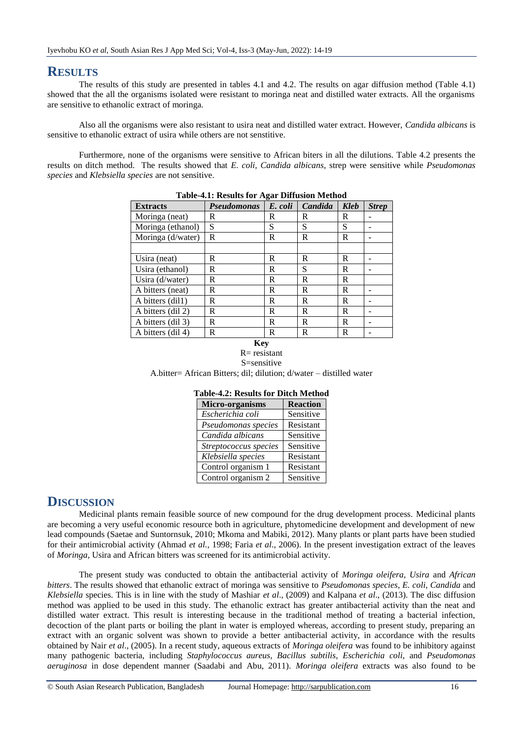# **RESULTS**

The results of this study are presented in tables 4.1 and 4.2. The results on agar diffusion method (Table 4.1) showed that the all the organisms isolated were resistant to moringa neat and distilled water extracts. All the organisms are sensitive to ethanolic extract of moringa.

Also all the organisms were also resistant to usira neat and distilled water extract. However, *Candida albicans* is sensitive to ethanolic extract of usira while others are not senstitive.

Furthermore, none of the organisms were sensitive to African biters in all the dilutions. Table 4.2 presents the results on ditch method. The results showed that *E. coli, Candida albicans*, strep were sensitive while *Pseudomonas species* and *Klebsiella species* are not sensitive.

| Table-4.1, Integrits for Agar Diffusion Michiog |                    |         |         |             |              |
|-------------------------------------------------|--------------------|---------|---------|-------------|--------------|
| <b>Extracts</b>                                 | <b>Pseudomonas</b> | E. coli | Candida | <b>Kleb</b> | <b>Strep</b> |
| Moringa (neat)                                  | R                  | R       | R       | R           |              |
| Moringa (ethanol)                               | S                  | S       | S       | S           |              |
| Moringa (d/water)                               | R                  | R       | R       | R           |              |
|                                                 |                    |         |         |             |              |
| Usira (neat)                                    | R                  | R       | R       | R           |              |
| Usira (ethanol)                                 | R                  | R       | S       | R           |              |
| Usira (d/water)                                 | R                  | R       | R       | R           |              |
| A bitters (neat)                                | R                  | R       | R       | R           |              |
| A bitters (dil1)                                | R                  | R       | R       | R           |              |
| A bitters (dil 2)                               | R                  | R       | R       | R           |              |
| A bitters (dil 3)                               | R                  | R       | R       | R           |              |
| A bitters (dil 4)                               | R                  | R       | R       | R           |              |

#### **Table-4.1: Results for Agar Diffusion Method**

#### **Key**  $R=$  resistant S=sensitive

A.bitter= African Bitters; dil; dilution; d/water – distilled water

| Micro-organisms       | <b>Reaction</b> |  |  |
|-----------------------|-----------------|--|--|
| Escherichia coli      | Sensitive       |  |  |
| Pseudomonas species   | Resistant       |  |  |
| Candida albicans      | Sensitive       |  |  |
| Streptococcus species | Sensitive       |  |  |
| Klebsiella species    | Resistant       |  |  |
| Control organism 1    | Resistant       |  |  |
| Control organism 2    | Sensitive       |  |  |

# **Table-4.2: Results for Ditch Method**

# **DISCUSSION**

Medicinal plants remain feasible source of new compound for the drug development process. Medicinal plants are becoming a very useful economic resource both in agriculture, phytomedicine development and development of new lead compounds (Saetae and Suntornsuk, 2010; Mkoma and Mabiki, 2012). Many plants or plant parts have been studied for their antimicrobial activity (Ahmad *et al.*, 1998; Faria *et al*., 2006). In the present investigation extract of the leaves of *Moringa,* Usira and African bitters was screened for its antimicrobial activity.

The present study was conducted to obtain the antibacterial activity of *Moringa oleifera, Usira* and *African bitters*. The results showed that ethanolic extract of moringa was sensitive to *Pseudomonas species*, *E. coli*, *Candida* and *Klebsiella* species. This is in line with the study of Mashiar *et al*., (2009) and Kalpana *et al*., (2013). The disc diffusion method was applied to be used in this study. The ethanolic extract has greater antibacterial activity than the neat and distilled water extract. This result is interesting because in the traditional method of treating a bacterial infection, decoction of the plant parts or boiling the plant in water is employed whereas, according to present study, preparing an extract with an organic solvent was shown to provide a better antibacterial activity, in accordance with the results obtained by Nair *et al*., (2005). In a recent study, aqueous extracts of *Moringa oleifera* was found to be inhibitory against many pathogenic bacteria, including *Staphylococcus aureus, Bacillus subtilis*, *Escherichia coli,* and *Pseudomonas aeruginosa* in dose dependent manner (Saadabi and Abu, 2011). *Moringa oleifera* extracts was also found to be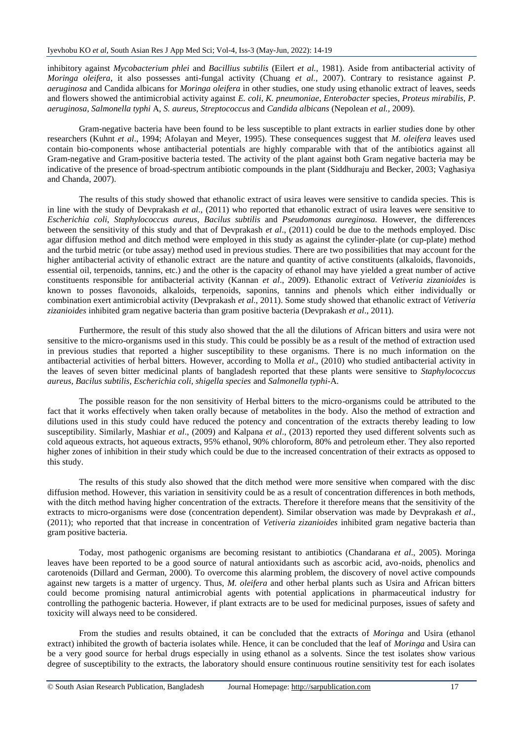inhibitory against *Mycobacterium phlei* and *Bacillius subtilis* (Eilert *et al.,* 1981). Aside from antibacterial activity of *Moringa oleifera*, it also possesses anti-fungal activity (Chuang *et al.,* 2007). Contrary to resistance against *P. aeruginosa* and Candida albicans for *Moringa oleifera* in other studies, one study using ethanolic extract of leaves, seeds and flowers showed the antimicrobial activity against *E. coli, K. pneumoniae*, *Enterobacter* species, *Proteus mirabilis*, *P. aeruginosa*, *Salmonella typhi* A, *S. aureus*, *Streptococcus* and *Candida albicans* (Nepolean *et al.,* 2009).

Gram-negative bacteria have been found to be less susceptible to plant extracts in earlier studies done by other researchers (Kuhnt *et al*., 1994; Afolayan and Meyer, 1995). These consequences suggest that *M. oleifera* leaves used contain bio-components whose antibacterial potentials are highly comparable with that of the antibiotics against all Gram-negative and Gram-positive bacteria tested. The activity of the plant against both Gram negative bacteria may be indicative of the presence of broad-spectrum antibiotic compounds in the plant (Siddhuraju and Becker, 2003; Vaghasiya and Chanda, 2007).

The results of this study showed that ethanolic extract of usira leaves were sensitive to candida species. This is in line with the study of Devprakash *et al*., (2011) who reported that ethanolic extract of usira leaves were sensitive to *Escherichia coli*, *Staphylococcus aureus*, *Bacilus subtilis* and *Pseudomonas aureginosa.* However, the differences between the sensitivity of this study and that of Devprakash *et al*., (2011) could be due to the methods employed. Disc agar diffusion method and ditch method were employed in this study as against the cylinder-plate (or cup-plate) method and the turbid metric (or tube assay) method used in previous studies. There are two possibilities that may account for the higher antibacterial activity of ethanolic extract are the nature and quantity of active constituents (alkaloids, flavonoids, essential oil, terpenoids, tannins, etc.) and the other is the capacity of ethanol may have yielded a great number of active constituents responsible for antibacterial activity (Kannan *et al*., 2009). Ethanolic extract of *Vetiveria zizanioides* is known to posses flavonoids, alkaloids, terpenoids, saponins, tannins and phenols which either individually or combination exert antimicrobial activity (Devprakash *et al*., 2011). Some study showed that ethanolic extract of *Vetiveria zizanioides* inhibited gram negative bacteria than gram positive bacteria (Devprakash *et al*., 2011).

Furthermore, the result of this study also showed that the all the dilutions of African bitters and usira were not sensitive to the micro-organisms used in this study. This could be possibly be as a result of the method of extraction used in previous studies that reported a higher susceptibility to these organisms. There is no much information on the antibacterial activities of herbal bitters. However, according to Molla *et al*., (2010) who studied antibacterial activity in the leaves of seven bitter medicinal plants of bangladesh reported that these plants were sensitive to *Staphylococcus aureus, Bacilus subtilis, Escherichia coli, shigella species* and *Salmonella typhi*-A.

The possible reason for the non sensitivity of Herbal bitters to the micro-organisms could be attributed to the fact that it works effectively when taken orally because of metabolites in the body. Also the method of extraction and dilutions used in this study could have reduced the potency and concentration of the extracts thereby leading to low susceptibility. Similarly, Mashiar *et al*., (2009) and Kalpana *et al*., (2013) reported they used different solvents such as cold aqueous extracts, hot aqueous extracts, 95% ethanol, 90% chloroform, 80% and petroleum ether. They also reported higher zones of inhibition in their study which could be due to the increased concentration of their extracts as opposed to this study.

The results of this study also showed that the ditch method were more sensitive when compared with the disc diffusion method. However, this variation in sensitivity could be as a result of concentration differences in both methods, with the ditch method having higher concentration of the extracts. Therefore it therefore means that the sensitivity of the extracts to micro-organisms were dose (concentration dependent). Similar observation was made by Devprakash *et al*., (2011); who reported that that increase in concentration of *Vetiveria zizanioides* inhibited gram negative bacteria than gram positive bacteria.

Today, most pathogenic organisms are becoming resistant to antibiotics (Chandarana *et al*., 2005). Moringa leaves have been reported to be a good source of natural antioxidants such as ascorbic acid, avo-noids, phenolics and carotenoids (Dillard and German, 2000). To overcome this alarming problem, the discovery of novel active compounds against new targets is a matter of urgency. Thus, *M. oleifera* and other herbal plants such as Usira and African bitters could become promising natural antimicrobial agents with potential applications in pharmaceutical industry for controlling the pathogenic bacteria. However, if plant extracts are to be used for medicinal purposes, issues of safety and toxicity will always need to be considered.

From the studies and results obtained, it can be concluded that the extracts of *Moringa* and Usira (ethanol extract) inhibited the growth of bacteria isolates while. Hence, it can be concluded that the leaf of *Moringa* and Usira can be a very good source for herbal drugs especially in using ethanol as a solvents. Since the test isolates show various degree of susceptibility to the extracts, the laboratory should ensure continuous routine sensitivity test for each isolates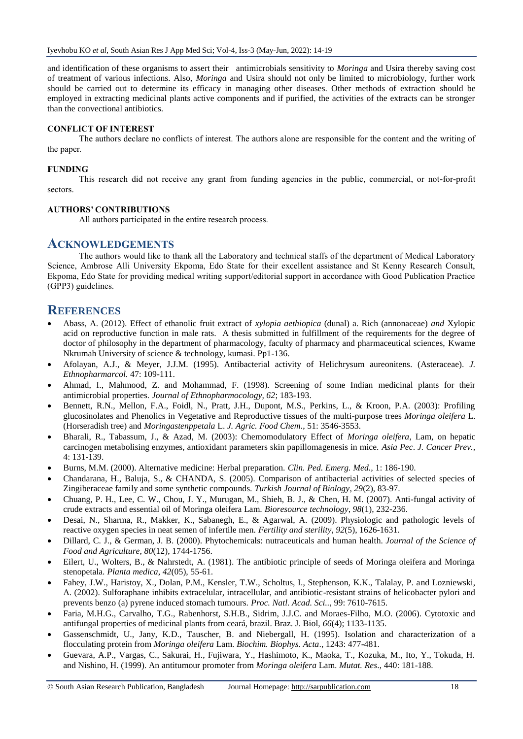and identification of these organisms to assert their antimicrobials sensitivity to *Moringa* and Usira thereby saving cost of treatment of various infections. Also, *Moringa* and Usira should not only be limited to microbiology, further work should be carried out to determine its efficacy in managing other diseases. Other methods of extraction should be employed in extracting medicinal plants active components and if purified, the activities of the extracts can be stronger than the convectional antibiotics.

#### **CONFLICT OF INTEREST**

The authors declare no conflicts of interest. The authors alone are responsible for the content and the writing of the paper.

#### **FUNDING**

This research did not receive any grant from funding agencies in the public, commercial, or not-for-profit sectors.

#### **AUTHORS' CONTRIBUTIONS**

All authors participated in the entire research process.

#### **ACKNOWLEDGEMENTS**

The authors would like to thank all the Laboratory and technical staffs of the department of Medical Laboratory Science, Ambrose Alli University Ekpoma, Edo State for their excellent assistance and St Kenny Research Consult, Ekpoma, Edo State for providing medical writing support/editorial support in accordance with Good Publication Practice (GPP3) guidelines.

### **REFERENCES**

- Abass, A. (2012). Effect of ethanolic fruit extract of *xylopia aethiopica* (dunal) a. Rich (annonaceae) *and* Xylopic acid on reproductive function in male rats. A thesis submitted in fulfillment of the requirements for the degree of doctor of philosophy in the department of pharmacology, faculty of pharmacy and pharmaceutical sciences, Kwame Nkrumah University of science & technology, kumasi. Pp1-136.
- Afolayan, A.J., & Meyer, J.J.M. (1995). Antibacterial activity of Helichrysum aureonitens. (Asteraceae). *J. Ethnopharmarcol.* 47: 109-111.
- Ahmad, I., Mahmood, Z. and Mohammad, F. (1998). Screening of some Indian medicinal plants for their antimicrobial properties. *Journal of Ethnopharmocology, 62*; 183-193.
- Bennett, R.N., Mellon, F.A., Foidl, N., Pratt, J.H., Dupont, M.S., Perkins, L., & Kroon, P.A. (2003): Profiling glucosinolates and Phenolics in Vegetative and Reproductive tissues of the multi-purpose trees *Moringa oleifera* L. (Horseradish tree) and *Moringastenppetala* L. *J. Agric. Food Chem*., 51: 3546-3553.
- Bharali, R., Tabassum, J., & Azad, M. (2003): Chemomodulatory Effect of *Moringa oleifera*, Lam, on hepatic carcinogen metabolising enzymes, antioxidant parameters skin papillomagenesis in mice. *Asia Pec*. *J. Cancer Prev.,* 4: 131-139.
- Burns, M.M. (2000). Alternative medicine: Herbal preparation. *Clin. Ped. Emerg. Med.,* 1: 186-190.
- Chandarana, H., Baluja, S., & CHANDA, S. (2005). Comparison of antibacterial activities of selected species of Zingiberaceae family and some synthetic compounds. *Turkish Journal of Biology*, *29*(2), 83-97.
- Chuang, P. H., Lee, C. W., Chou, J. Y., Murugan, M., Shieh, B. J., & Chen, H. M. (2007). Anti-fungal activity of crude extracts and essential oil of Moringa oleifera Lam. *Bioresource technology*, *98*(1), 232-236.
- Desai, N., Sharma, R., Makker, K., Sabanegh, E., & Agarwal, A. (2009). Physiologic and pathologic levels of reactive oxygen species in neat semen of infertile men. *Fertility and sterility*, *92*(5), 1626-1631.
- Dillard, C. J., & German, J. B. (2000). Phytochemicals: nutraceuticals and human health. *Journal of the Science of Food and Agriculture*, *80*(12), 1744-1756.
- Eilert, U., Wolters, B., & Nahrstedt, A. (1981). The antibiotic principle of seeds of Moringa oleifera and Moringa stenopetala. *Planta medica*, *42*(05), 55-61.
- Fahey, J.W., Haristoy, X., Dolan, P.M., Kensler, T.W., Scholtus, I., Stephenson, K.K., Talalay, P. and Lozniewski, A. (2002). Sulforaphane inhibits extracelular, intracellular, and antibiotic-resistant strains of helicobacter pylori and prevents benzo (a) pyrene induced stomach tumours. *Proc. Natl. Acad. Sci..*, 99: 7610-7615.
- Faria, M.H.G., Carvalho, T.G., Rabenhorst, S.H.B., Sidrim, J.J.C. and Moraes-Filho, M.O. (2006). Cytotoxic and antifungal properties of medicinal plants from ceará, brazil. Braz. J. Biol, *66*(4); 1133-1135.
- Gassenschmidt, U., Jany, K.D., Tauscher, B. and Niebergall, H. (1995). Isolation and characterization of a flocculating protein from *Moringa oleifera* Lam. *Biochim. Biophys. Acta*., 1243: 477-481.
- Guevara, A.P., Vargas, C., Sakurai, H., Fujiwara, Y., Hashimoto, K., Maoka, T., Kozuka, M., Ito, Y., Tokuda, H. and Nishino, H. (1999). An antitumour promoter from *Moringa oleifera* Lam. *Mutat. Res*., 440: 181-188.